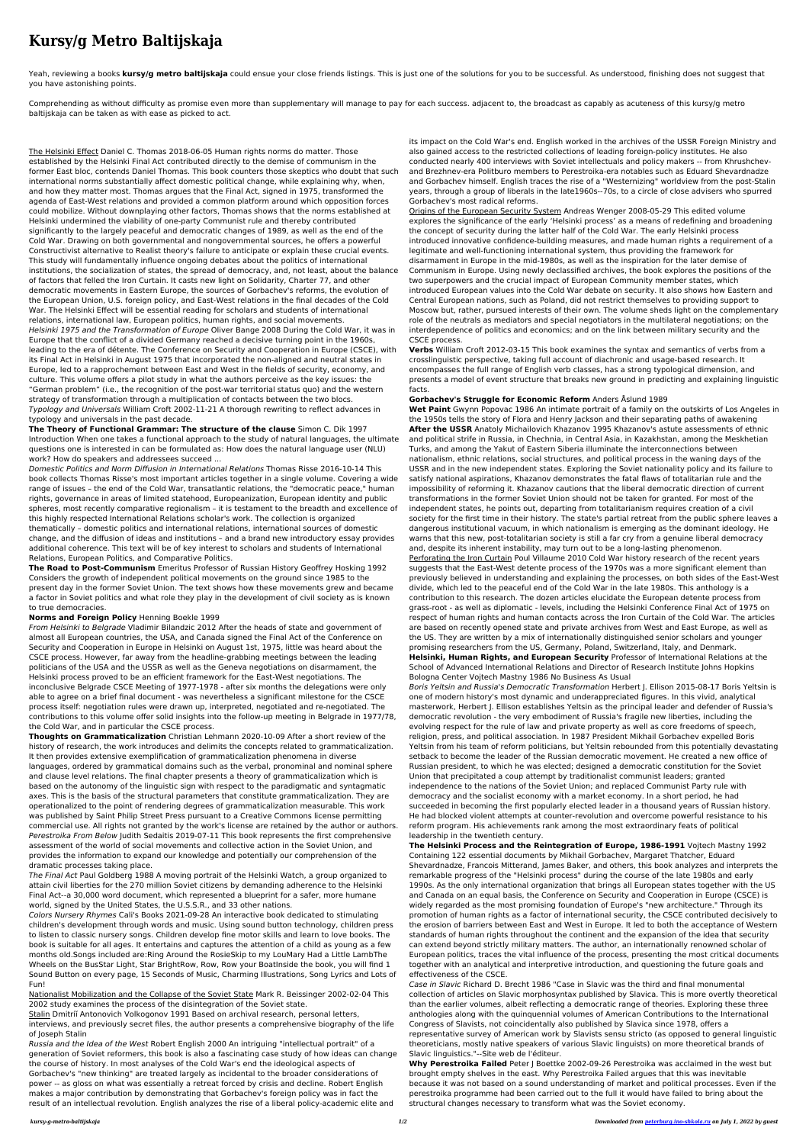## **Kursy/g Metro Baltijskaja**

Yeah, reviewing a books **kursy/g metro baltijskaja** could ensue your close friends listings. This is just one of the solutions for you to be successful. As understood, finishing does not suggest that you have astonishing points.

Comprehending as without difficulty as promise even more than supplementary will manage to pay for each success. adjacent to, the broadcast as capably as acuteness of this kursy/g metro baltijskaja can be taken as with ease as picked to act.

The Helsinki Effect Daniel C. Thomas 2018-06-05 Human rights norms do matter. Those established by the Helsinki Final Act contributed directly to the demise of communism in the former East bloc, contends Daniel Thomas. This book counters those skeptics who doubt that such international norms substantially affect domestic political change, while explaining why, when, and how they matter most. Thomas argues that the Final Act, signed in 1975, transformed the agenda of East-West relations and provided a common platform around which opposition forces could mobilize. Without downplaying other factors, Thomas shows that the norms established at Helsinki undermined the viability of one-party Communist rule and thereby contributed significantly to the largely peaceful and democratic changes of 1989, as well as the end of the Cold War. Drawing on both governmental and nongovernmental sources, he offers a powerful Constructivist alternative to Realist theory's failure to anticipate or explain these crucial events. This study will fundamentally influence ongoing debates about the politics of international institutions, the socialization of states, the spread of democracy, and, not least, about the balance of factors that felled the Iron Curtain. It casts new light on Solidarity, Charter 77, and other democratic movements in Eastern Europe, the sources of Gorbachev's reforms, the evolution of the European Union, U.S. foreign policy, and East-West relations in the final decades of the Cold War. The Helsinki Effect will be essential reading for scholars and students of international relations, international law, European politics, human rights, and social movements. Helsinki 1975 and the Transformation of Europe Oliver Bange 2008 During the Cold War, it was in Europe that the conflict of a divided Germany reached a decisive turning point in the 1960s, leading to the era of détente. The Conference on Security and Cooperation in Europe (CSCE), with its Final Act in Helsinki in August 1975 that incorporated the non-aligned and neutral states in Europe, led to a rapprochement between East and West in the fields of security, economy, and culture. This volume offers a pilot study in what the authors perceive as the key issues: the "German problem" (i.e., the recognition of the post-war territorial status quo) and the western strategy of transformation through a multiplication of contacts between the two blocs. Typology and Universals William Croft 2002-11-21 A thorough rewriting to reflect advances in typology and universals in the past decade.

**The Theory of Functional Grammar: The structure of the clause** Simon C. Dik 1997 Introduction When one takes a functional approach to the study of natural languages, the ultimate questions one is interested in can be formulated as: How does the natural language user (NLU) work? How do speakers and addressees succeed ...

Domestic Politics and Norm Diffusion in International Relations Thomas Risse 2016-10-14 This book collects Thomas Risse's most important articles together in a single volume. Covering a wide range of issues – the end of the Cold War, transatlantic relations, the "democratic peace," human rights, governance in areas of limited statehood, Europeanization, European identity and public spheres, most recently comparative regionalism – it is testament to the breadth and excellence of this highly respected International Relations scholar's work. The collection is organized thematically – domestic politics and international relations, international sources of domestic change, and the diffusion of ideas and institutions – and a brand new introductory essay provides additional coherence. This text will be of key interest to scholars and students of International Relations, European Politics, and Comparative Politics.

**The Road to Post-Communism** Emeritus Professor of Russian History Geoffrey Hosking 1992 Considers the growth of independent political movements on the ground since 1985 to the present day in the former Soviet Union. The text shows how these movements grew and became a factor in Soviet politics and what role they play in the development of civil society as is known to true democracies.

## **Norms and Foreign Policy** Henning Boekle 1999

From Helsinki to Belgrade Vladimir Bilandzic 2012 After the heads of state and government of almost all European countries, the USA, and Canada signed the Final Act of the Conference on Security and Cooperation in Europe in Helsinki on August 1st, 1975, little was heard about the CSCE process. However, far away from the headline-grabbing meetings between the leading politicians of the USA and the USSR as well as the Geneva negotiations on disarmament, the Helsinki process proved to be an efficient framework for the East-West negotiations. The inconclusive Belgrade CSCE Meeting of 1977-1978 - after six months the delegations were only able to agree on a brief final document - was nevertheless a significant milestone for the CSCE process itself: negotiation rules were drawn up, interpreted, negotiated and re-negotiated. The contributions to this volume offer solid insights into the follow-up meeting in Belgrade in 1977/78, the Cold War, and in particular the CSCE process.

**Thoughts on Grammaticalization** Christian Lehmann 2020-10-09 After a short review of the history of research, the work introduces and delimits the concepts related to grammaticalization. It then provides extensive exemplification of grammaticalization phenomena in diverse languages, ordered by grammatical domains such as the verbal, pronominal and nominal sphere and clause level relations. The final chapter presents a theory of grammaticalization which is based on the autonomy of the linguistic sign with respect to the paradigmatic and syntagmatic axes. This is the basis of the structural parameters that constitute grammaticalization. They are operationalized to the point of rendering degrees of grammaticalization measurable. This work was published by Saint Philip Street Press pursuant to a Creative Commons license permitting commercial use. All rights not granted by the work's license are retained by the author or authors. Perestroika From Below Judith Sedaitis 2019-07-11 This book represents the first comprehensive assessment of the world of social movements and collective action in the Soviet Union, and provides the information to expand our knowledge and potentially our comprehension of the dramatic processes taking place.

The Final Act Paul Goldberg 1988 A moving portrait of the Helsinki Watch, a group organized to attain civil liberties for the 270 million Soviet citizens by demanding adherence to the Helsinki Final Act--a 30,000 word document, which represented a blueprint for a safer, more humane world, signed by the United States, the U.S.S.R., and 33 other nations.

Colors Nursery Rhymes Cali's Books 2021-09-28 An interactive book dedicated to stimulating children's development through words and music. Using sound button technology, children press to listen to classic nursery songs. Children develop fine motor skills and learn to love books. The book is suitable for all ages. It entertains and captures the attention of a child as young as a few months old.Songs included are:Ring Around the RosieSkip to my LouMary Had a Little LambThe Wheels on the BusStar Light, Star BrightRow, Row, Row your BoatInside the book, you will find 1 Sound Button on every page, 15 Seconds of Music, Charming Illustrations, Song Lyrics and Lots of Fun!

Nationalist Mobilization and the Collapse of the Soviet State Mark R. Beissinger 2002-02-04 This 2002 study examines the process of the disintegration of the Soviet state.

Stalin Dmitriĭ Antonovich Volkogonov 1991 Based on archival research, personal letters, interviews, and previously secret files, the author presents a comprehensive biography of the life of Joseph Stalin

Russia and the Idea of the West Robert English 2000 An intriguing "intellectual portrait" of a generation of Soviet reformers, this book is also a fascinating case study of how ideas can change the course of history. In most analyses of the Cold War's end the ideological aspects of Gorbachev's "new thinking" are treated largely as incidental to the broader considerations of power -- as gloss on what was essentially a retreat forced by crisis and decline. Robert English makes a major contribution by demonstrating that Gorbachev's foreign policy was in fact the result of an intellectual revolution. English analyzes the rise of a liberal policy-academic elite and

its impact on the Cold War's end. English worked in the archives of the USSR Foreign Ministry and also gained access to the restricted collections of leading foreign-policy institutes. He also conducted nearly 400 interviews with Soviet intellectuals and policy makers -- from Khrushchevand Brezhnev-era Politburo members to Perestroika-era notables such as Eduard Shevardnadze and Gorbachev himself. English traces the rise of a "Westernizing" worldview from the post-Stalin years, through a group of liberals in the late1960s--70s, to a circle of close advisers who spurred Gorbachev's most radical reforms.

Origins of the European Security System Andreas Wenger 2008-05-29 This edited volume explores the significance of the early 'Helsinki process' as a means of redefining and broadening the concept of security during the latter half of the Cold War. The early Helsinki process introduced innovative confidence-building measures, and made human rights a requirement of a legitimate and well-functioning international system, thus providing the framework for disarmament in Europe in the mid-1980s, as well as the inspiration for the later demise of Communism in Europe. Using newly declassified archives, the book explores the positions of the two superpowers and the crucial impact of European Community member states, which introduced European values into the Cold War debate on security. It also shows how Eastern and Central European nations, such as Poland, did not restrict themselves to providing support to Moscow but, rather, pursued interests of their own. The volume sheds light on the complementary role of the neutrals as mediators and special negotiators in the multilateral negotiations; on the interdependence of politics and economics; and on the link between military security and the CSCE process.

**Verbs** William Croft 2012-03-15 This book examines the syntax and semantics of verbs from a crosslinguistic perspective, taking full account of diachronic and usage-based research. It encompasses the full range of English verb classes, has a strong typological dimension, and presents a model of event structure that breaks new ground in predicting and explaining linguistic facts.

## **Gorbachev's Struggle for Economic Reform** Anders Åslund 1989

**Wet Paint** Gwynn Popovac 1986 An intimate portrait of a family on the outskirts of Los Angeles in the 1950s tells the story of Flora and Henry Jackson and their separating paths of awakening **After the USSR** Anatoly Michailovich Khazanov 1995 Khazanov's astute assessments of ethnic and political strife in Russia, in Chechnia, in Central Asia, in Kazakhstan, among the Meskhetian Turks, and among the Yakut of Eastern Siberia illuminate the interconnections between nationalism, ethnic relations, social structures, and political process in the waning days of the USSR and in the new independent states. Exploring the Soviet nationality policy and its failure to satisfy national aspirations, Khazanov demonstrates the fatal flaws of totalitarian rule and the impossibility of reforming it. Khazanov cautions that the liberal democratic direction of current transformations in the former Soviet Union should not be taken for granted. For most of the independent states, he points out, departing from totalitarianism requires creation of a civil society for the first time in their history. The state's partial retreat from the public sphere leaves a dangerous institutional vacuum, in which nationalism is emerging as the dominant ideology. He warns that this new, post-totalitarian society is still a far cry from a genuine liberal democracy and, despite its inherent instability, may turn out to be a long-lasting phenomenon. Perforating the Iron Curtain Poul Villaume 2010 Cold War history research of the recent years suggests that the East-West detente process of the 1970s was a more significant element than previously believed in understanding and explaining the processes, on both sides of the East-West divide, which led to the peaceful end of the Cold War in the late 1980s. This anthology is a contribution to this research. The dozen articles elucidate the European detente process from grass-root - as well as diplomatic - levels, including the Helsinki Conference Final Act of 1975 on respect of human rights and human contacts across the Iron Curtain of the Cold War. The articles are based on recently opened state and private archives from West and East Europe, as well as the US. They are written by a mix of internationally distinguished senior scholars and younger promising researchers from the US, Germany, Poland, Switzerland, Italy, and Denmark. **Helsinki, Human Rights, and European Security** Professor of International Relations at the School of Advanced International Relations and Director of Research Institute Johns Hopkins Bologna Center Vojtech Mastny 1986 No Business As Usual Boris Yeltsin and Russia's Democratic Transformation Herbert J. Ellison 2015-08-17 Boris Yeltsin is one of modern history's most dynamic and underappreciated figures. In this vivid, analytical masterwork, Herbert J. Ellison establishes Yeltsin as the principal leader and defender of Russia's democratic revolution - the very embodiment of Russia's fragile new liberties, including the evolving respect for the rule of law and private property as well as core freedoms of speech, religion, press, and political association. In 1987 President Mikhail Gorbachev expelled Boris Yeltsin from his team of reform politicians, but Yeltsin rebounded from this potentially devastating setback to become the leader of the Russian democratic movement. He created a new office of Russian president, to which he was elected; designed a democratic constitution for the Soviet Union that precipitated a coup attempt by traditionalist communist leaders; granted independence to the nations of the Soviet Union; and replaced Communist Party rule with democracy and the socialist economy with a market economy. In a short period, he had succeeded in becoming the first popularly elected leader in a thousand years of Russian history. He had blocked violent attempts at counter-revolution and overcome powerful resistance to his reform program. His achievements rank among the most extraordinary feats of political leadership in the twentieth century. **The Helsinki Process and the Reintegration of Europe, 1986-1991** Vojtech Mastny 1992 Containing 122 essential documents by Mikhail Gorbachev, Margaret Thatcher, Eduard Shevardnadze, Francois Mitterand, James Baker, and others, this book analyzes and interprets the remarkable progress of the "Helsinki process" during the course of the late 1980s and early 1990s. As the only international organization that brings all European states together with the US and Canada on an equal basis, the Conference on Security and Cooperation in Europe (CSCE) is widely regarded as the most promising foundation of Europe's "new architecture." Through its promotion of human rights as a factor of international security, the CSCE contributed decisively to the erosion of barriers between East and West in Europe. It led to both the acceptance of Western standards of human rights throughout the continent and the expansion of the idea that security can extend beyond strictly military matters. The author, an internationally renowned scholar of European politics, traces the vital influence of the process, presenting the most critical documents together with an analytical and interpretive introduction, and questioning the future goals and effectiveness of the CSCE. Case in Slavic Richard D. Brecht 1986 "Case in Slavic was the third and final monumental collection of articles on Slavic morphosyntax published by Slavica. This is more overtly theoretical than the earlier volumes, albeit reflecting a democratic range of theories. Exploring these three anthologies along with the quinquennial volumes of American Contributions to the International Congress of Slavists, not coincidentally also published by Slavica since 1978, offers a representative survey of American work by Slavists sensu stricto (as opposed to general linguistic theoreticians, mostly native speakers of various Slavic linguists) on more theoretical brands of Slavic linguistics."--Site web de l'éditeur. **Why Perestroika Failed** Peter | Boettke 2002-09-26 Perestroika was acclaimed in the west but brought empty shelves in the east. Why Perestroika Failed argues that this was inevitable because it was not based on a sound understanding of market and political processes. Even if the perestroika programme had been carried out to the full it would have failed to bring about the structural changes necessary to transform what was the Soviet economy.